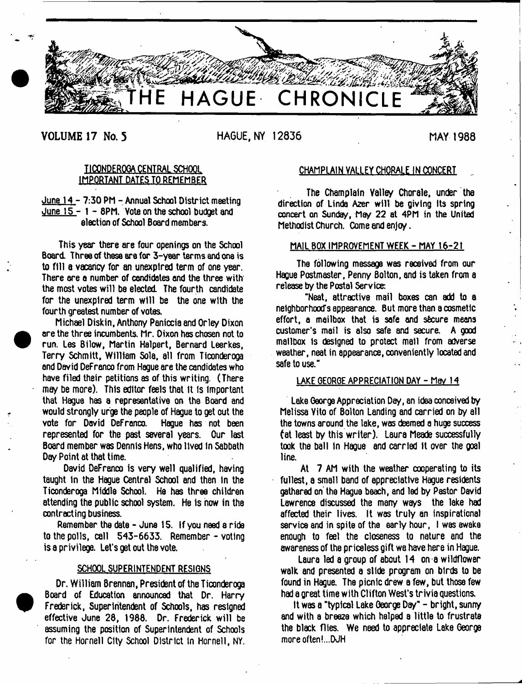

# **VOLUME 17 No. 5 HAGUE, NY 12836 MAY 1988**

 $\bullet$ 

 $\bullet$ 

# TICONDEROGA CENTRAL SCHOOL IMPORTANT DATES TO REMEMBER

June 14 - 7:30 PM - Annual School District meeting June  $15 - 1 - 8$ PM. Vote on the school budget and election of School Board members.

This year there are four openings on the School Board. Three of these are for 3-year terms and one is to fill a vacancy for an unexptred term of one year. There are a number of candidates and the three with the most votes will be elected The fourth candidate for the unexpired term will be the one with the fourth greatest number of votes,

Michael Diskin, Anthony Peniccia and Orley Dixon are the three incumbents. Mr. Dixon has chosen not to run. Les Bilow, Martin Halpert, Bernard Leerkes, Terry Schmitt, William Sola, all from Ticonderoga and David DeFrenco from Hague are the candidates who have filed their petitions as of this writing. (There may be more). This editor feels that it is Important that Hague has a representative on the Board and would strongly urge the people of Hague to get out the<br>vote for David Defranco. Hague has not been vote for David DeFranco. represented for the past several years. Our last Board member was Dennis Hens, who lived in Sabbath Day Point at that time.

David DeFranco is very well qualified, having taught in the Hague Central School and then in the Ticonderoga Middle School. He has three children attending the public school system. He is how in the contracting business.

Remember the date - June 15. If you need a ride to the polls, call 543-6633. Remember - voting is a privilege. Let's get out the vote.

### SCHOOL SUPERINTENDENT RESIGNS

Dr. William Brennan, President of the Ticonderoga Board of Education announced that Dr. Harry Frederick, Superintendent of Schools, has resigned effective June 28, 1988. Dr. Frederick will be assuming the position of Superintendent of Schools for the Hornell City School District In Hornell, NY.

# CHAMPLAIN VALLEY CHORALE IN CONCERT ..

The Champlain Valley Chorale, under the direction of Linda Azer will be giving its spring concert on Sunday, May 22 at 4PM in the United Methodist Church. Come and enjoy.

## MAIL BOX IMPROVEMENT WEEK - MAY 16-21

The following message was received from our Hague Postmaster, Penny Bolton, and is taken from a release by the Postal Service:

"Neat, attractive mail boxes can add to a neighborhood's appearance. But more than a cosmetic effort, a mailbox that is safe and secure means customer's mail is also safe and secure. A good mailbox Is designed to protect mall from adverse weather, neat in appearance, conveniently located and safe to use."

### LAKE GEORGE APPRECIATION DAY - May 14

Lake George Appreciation Day, an idea conceived by Melissa Vito of Bolton Landing and carried on by all the towns around the lake, was deemed a huge success tat least by this writer). Laura Meade successfully took the ball In Hague and carried It over the goal line.

At 7 AM with the weather cooperating to its fullest, a small band of appreciative Hague residents gathered on the Hague beach, and led by Pastor David Lawrence discussed the many ways the lake had affected their lives. It was truly an inspirational service and in spite of the early hour, I was awake enough to feel the closeness to nature and the awareness of the priceless gift we have here in Hague.

Laura led a group of about 14 on a wildflower walk and presented a slide program on birds to be found in Hague. The picnic drew a few, but those few had a great time with Clifton West's trivia questions.

It was a "typical Lake George Day" - bright, sunny and with a breeze which helped a little to frustrate the black flies. We need to appreciate Lake George more often!...DJH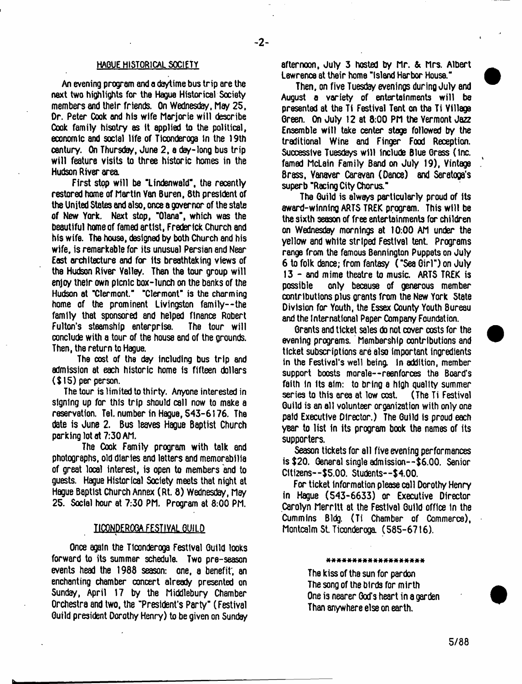### HAGUE HISTORICAL SOCIETY

An evening program and a daytime bus trip are the next two highlights for the Hague Historical Society members and their friends. On Wednesday, May 25, Or. Peter Cook and his wife Marjorie will describe Cook family hisotry es ft applied to the political, economic aml social life of Ticonderoga in the 19th century- On Thursday, June 2, a day-long bus trip will feature visits to three historic homes in the Hudson River area.

First stop will be "Lindenwald", the recently restored home of Martin Van Buren, 8th president of the United States and also, once a governor of the state of New York. Next stop, "Olana", which was the beautiful home of famed artist, Frederick Church and his wife. The house, designed by both Church and his wife, is remarkable for its unusual Persian and Near East architecture and for its breathtaking views of the Hudson River Valley. Then the tour group will enjoy their own picnic box-lunch on the banks of the Hudson at "Clermont." "Clermont" is the charming home of the prominent Livingston family--the family that sponsored and helped finance Robert Fulton's steamship enterprise. The tour will conclude with a tour of the house and of the grounds. Then, the return to Hague.

The cost of the day including bus trip and admission at each historic home is fifteen dollars (\$15) per person.

The tour is limited to thirty. Anyone interested in signing up for this trip should call now to make a reservation. Tel. number in Hague, 543-6176. The date is June 2. Bus leaves Hague Baptist Church perking lot at 7:30 AM.

The Cook Family program with talk and photographs, old diaries and letters and memorabilia of great local interest, is open to members and to guests. Hague Historical Society meets that night at Hague Baptist Church Annex (Rt. 8) Wednesday, May 25. Social hour at 7:30 PM. Program at 8:00 PM.

### TICONDEROGA FESTIVAL GUILD

Once again the Ticonderoga Festival Guild looks forward to its summer schedule. Two pre-season events head the 1988 season: one, a benefit', an enchanting chamber concert already presented on Sunday, April 17 by the Middlebury Chamber Orchestra and two, the "President's Party" (Festival Guild president Dorothy Henry) to be given on Sunday

afternoon, July 3 hosted by Mr. & Mrs. Albert Lawrence at their home "Island Harbor House."

Then, on five Tuesday evenings during July and August a variety of entertainments w ill be presented at the Ti Festival Tent on the Ti Village Green. On July 12 at 8:00 PM the Vermont Jazz Ensemble will take center stage followed by the traditional Wine and Finger Food Reception. Successive Tuesdays w ill Include Blue Grass (Inc. famed McLain Family Band on July 19), Vintage Brass, Vanaver Caravan (Dance) and Saratoga's superb "Racing City Chorus."

The Guild is always particularly proud of its award-winning ARTS TREK program. This w ill be the sixth season of free entertainments for children on Wednesday mornings at 10:00 AM under the yellow and white striped Festival tent. Programs range from the famous Bennington Puppets on July 6 to folk dance; from fantasy ( "Sea Girl") on July 13 - and mime theatre to music. ARTS TREK is possible only because of generous member contributions plus grants from the New York State Division for Youth, the Essex County Youth Bureau and the International Paper Company Foundation.

Grants and ticket sales do not cover costs for the evening programs. Membership contributions and ticket subscriptions are also important ingredients in the Festival's well being. In addition, member support boosts morale—reenforces the Board's faith In Its aim: to bring a high quality summer series to this area at low cost. (The Ti Festival Guild is an all volunteer organization with only one paid Executive Director.) The Guild is proud each year to list In its program book the names of its supporters.

Season tickets for all five evening performances is \$20. General single admission--\$6.00. Senior Citizens--\$5.00. Students—\$4.00.

For ticket Information please call Dorothy Henry in Hague (543-6633) or Executive Director Carolyn Merritt at the Festival Guild office In the Cummins Bldg. (Ti Chamber of Commerce), Montcalm St. Ticonderoga. (585-6716).

\* \* \* \* \* \* \* \* \* \* \* \* \* \* \* \* \* \*

The kiss of the sun for pardon The song of the birds for mirth One is nearer God's heart in a garden Than anywhere else on earth.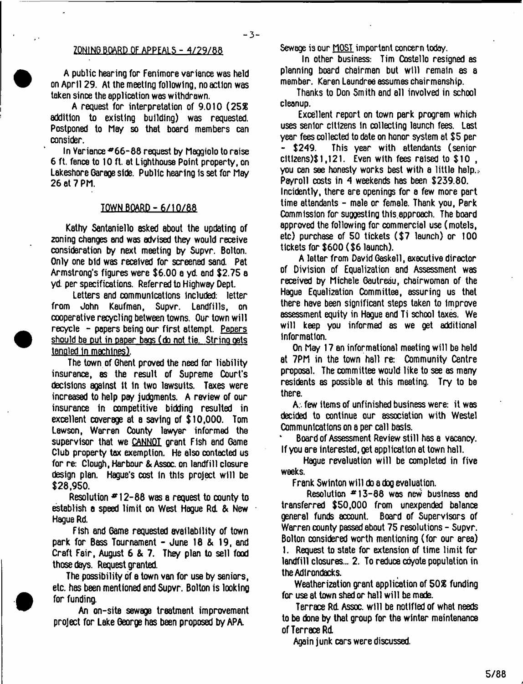# ZONING BOARD OF APPEALS - 4/29/88

A public hearing for Fenimore variance was held on April 29. At the meeting following, no action was taken since the application was withdrawn.

A request for interpretation of 9.010 (252 addition to existing building) was requested. Postponed to May so that board members can consider.

In Variance  $*66-88$  request by Maggiolo to raise 6 ft. fence to 10 ft. at Lighthouse Point property, on Lakeshore Garage side. Public hearing Is set for May 26 at 7 PM.

# TOWN BOARD-6/10/88

Kathy Santaniello asked about the updating of zoning changes and was advised they would receive consideration by next meeting by Supvr. Bolton. Only one bid was received for screened sand. Pat Armstrong's figures were \$6.00 a yd. and \$2.75 a yd. per specifications. Referred to Highway Dept.

Letters and communications included: letter from John Kaufman, Supvr. Landfills, on cooperative recycling between towns. Our town will recycle - papers being our first attempt. Papers should be put in paper bags (do not tie. String gets tangled In machines).

The town of Ghent proved the need for liability insurance, ss the result of Supreme Court's decisions against It In two lawsuits. Taxes were increased to help pay judgments. A review of our insurance In competitive bidding resulted in excellent coverage at a saving of \$10,000. Tom Lawson, Warren County lawyer informed the supervisor that we CANNOT grant Fish and Game Club property tax exemption. He also contacted us for re: Clough, Harbour & Assoc, on landfill closure design plan. Hague's cost In this project will be \$28,950.

Resolution  $*12-88$  was a request to county to establish a speed lim it on West Hague Rd. & New Hague Rd.

Fish and Game requested availability of town park for Bass Tournament - June 18 & 19, and Craft Fair, August 6 & 7. They plan to sell food those days. Request granted.

The possibility of a town van for use by seniors, etc. has been mentioned and Supvr. Bolton is looking for funding.

An on-site sewage treatment improvement project for Lake George has been proposed by APA.

Sewage is our MOST important concern today.

In other business: Tim Costello resigned as planning board chairman but will remain as a member. Karen Laundree assumes chairmanship.

Thanks to Don Smith and all involved in school cleanup.

Excellent report on town park program which uses senior citizens In collecting launch fees. Last year fees collected to date on honor system at \$5 per This year with attendants (senior clt1zens)\$ 1,121. Even with fees raised to \$10 , you can see honesty works best with a little help.:. Payroll costs in 4 weekends has been \$239.80. Incidently, there are openings for a few more part time attendants - male or female. Thank you, Park Commission for suggesting thls.approach. The board approved the following for commercial use (motels, etc) purchase of 50 tickets (\$7 launch) or 100 tickets for \$600 (\$6 launch).

A letter from David Gaskell, executive director of Division of Equalization and Assessment was received by Michele Gautreau, chairwoman of the Hague Equalization Committee, assuring us that there have been significant steps taken to Improve assessment equity in Hague and Ti school taxes. We will keep you informed 8s we get additional Information.

On May 17 an informational meeting will be held at 7PM in the town hall re: Community Centre proposal. The committee would like to see as many residents as possible at this meeting. Try to be there.

A;, few items of unfinished business were: it was decided to continue our association with Westel Communications on a per call basis.

Board of Assessment Review still has a vacancy. If you are Interested, get application at town hall.

Hague revaluation will be completed in five weeks.

Frank Swlnton will do a dog evaluation.

Resolution  $413-88$  was new business and transferred \$50,000 from unexpended balance general funds account. Board of Supervisors of Warren county passed about 75 resolutions - Supvr. Bolton considered worth mentioning (for our area) 1. Request to state for extension of time limit for landfill closures... 2. To reduce coyote population in the Adirondacks.

Weatherization grant application of 50*%* funding for use at town shed or hall will be made.

Terrace Rd. Assoc, will be notified of what needs to be done by that group for the winter maintenance of Terrace Rd.

Again junk cars were discussed.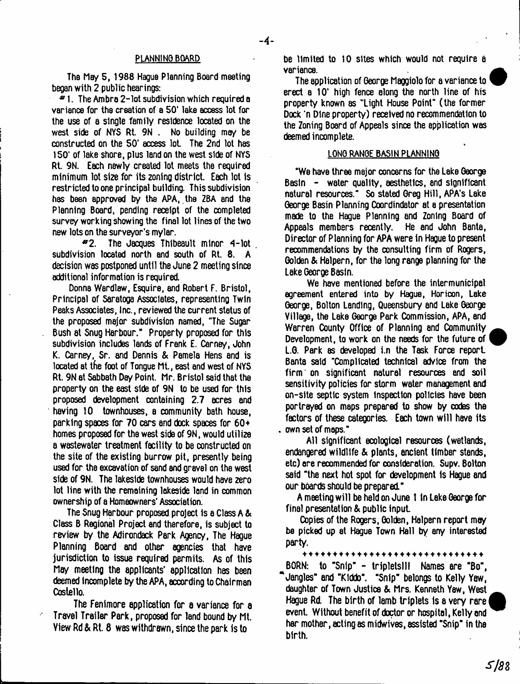### PLANNiNO BOARD

The May 5, 1988 Hague Planning Board meeting began with 2 public hearings:

 $*1$ . The Ambra 2-lot subdivision which required a variance for the creation of a SO' lake access lot for the use of a single family residence located on the west side of NYS Rt 9N . No building may be constructed on the 50' access lot The 2nd lot has 150' of lake shore, plus land on the west side of NYS Rt. 9N. Each newly created lot meets the required minimum lot size for its zoning district. Each lot is restricted to one principal building. This subdivision has been approved by the APA, the ZBA and the Planning Board, pending receipt of the completed survey working showing the final lot lines of the two new lots on the surveyor's mylar.

\*2. The Jacques Thlbeault minor 4-lot subdivision located north and south of Rt. 8. A decision was postponed until the June 2 meeting since additional information is required.

Donna Wardlaw, Esquire, and Robert F. Bristol, Principal of Saratoga Associates, representing Twin Peaks Associates, Inc., reviewed the current status of the proposed major subdivision named, "The Sugar Bush at Snug Harbour." Property proposed for this subdivision includes lands of Frank E. Carney, John K. Carney. Sr. and Dennis & Pamela Hens and is located at the foot of Tongue Mt., east and west of NYS Rt. 9N at Sabbath Day Point. Mr. Bristol said that the property on the east side of 9N to be used for this proposed development containing 2.7 acres and having 10 townhouses, a community bath house, parking spaces for 70 cars and dock spaces for  $60+$ homes proposed for the west side of 9N, would utilize a wastewater treatment facility to be constructed on the site of the existing burrow pit, presently being used for the excavation of sand and gravel on the west side of 9N. The lakeside townhouses would have 2ero lot line with the remaining lakeside land in common ownership of a Homeowners' Association.

The Snug Harbour proposed project is a Class A & Class B Regional Project and therefore, is subject to review by the Adirondack Park Agency, The Hague Planning Board and other agencies that have jurisdiction to issue required permits. As of this May meeting the applicants' application has been deemed Incomplete by the APA, according to Chairman Costello.

The Fenimore application for a variance for a Travel Trailer Park, proposed for land bound by Mt. View Rd & Rt. 8 was withdrawn, since the park is to

be limited to 10 sites which would not require a variance.

The application of George Maggiolo for a variance to erect a 10' high fence along the north line of his property known as "Light House Point" (the former Dock 'n Dine property) received no recommendation to the Zoning Board of Appeals since the application was deemed incomplete.

# LONG RANGE BASIN PLANNING

"We have three major concerns for the Lake George Basin - water quality, aesthetics, and significant natural resources." So stated Greg Hill, APA's Lake George Basin Planning Coordindator at a presentation made to the Hague Planning and Zoning Board of Appeals members recently. He and John Banta, Director of Planning for APA were in Hague to present recommendations by the consulting firm of Rogers, Golden & Halpern, for the long range planning for the Lake George Basin.

We have mentioned before the intermunicipel agreement entered into by Hague, Horicon, Lake George, Bolton Landing, Queensbury and Lake George Village, the Lake George Park Commission, APA, and Warren County Office of Planning and Community Development, to work on the needs for the future of L.G. Park as developed i.n the Task Force report Banta said "Complicated technical advice from the firm ' on significant natural resources and soil sensitivity policies for storm water management and on-site septic system inspection policies have been portrayed on maps prepared to show by codes the factors of these categories. Each town will have its own set of maps."

All significant ecological resources (wetlands, endangered wildlife & plants, ancient timber stands, etc) are recommended for consideration. Supv. Bolton said "the next hot spot for development is Hague and our boards should be prepared."

A meeting will be held on June t In Lake George for final presentation & public input

Copies of the Rogers, Golden, Halpern report may be picked up at Hague Town Hall by any interested party.

\*\*\*\*\*\*\*\*\*\*\*\*\*\*\*\*\*\*\*\*\*\*\*\*\* BORN: to "Snip" - tripletslll Names are "Bo", \* Jangles" and "Klddo". "Snip" belongs to Kelly Yaw, daughter of Town Justice & Mrs. Kenneth Yaw, West ^ Hague Rd. The birth of lamb triplets is a very rare event. Without benefit of doctor or hospital, Kelly end her mother, acting as midwives, assisted "Snip" in the birth.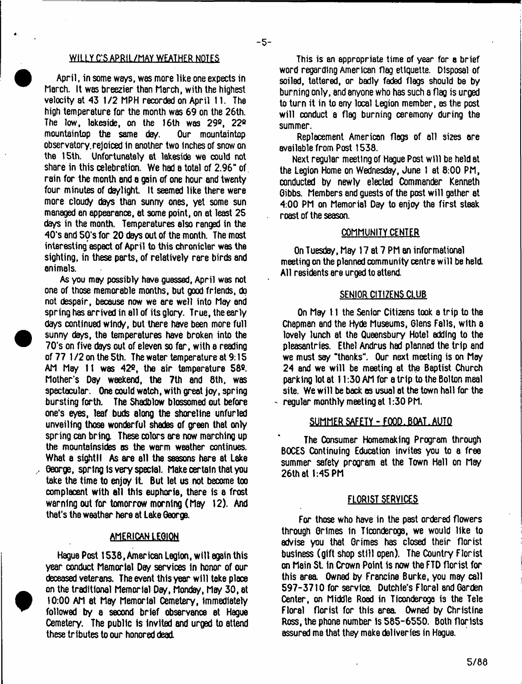## WILLY C'S APRIL/MAY WEATHER NOTFS

April, in some ways, was more like one expects in March. It was breezier than March, with the highest velocity at 43 1/2 MPH recorded on April 11. The high temperature for the month was 69 on the 26th. The low, lakeside, on the 16th was  $29^{\circ}$ ,  $22^{\circ}$ <br>mountaintop the same day. Our mountaintop mountaintop the same day. observatory.rejoiced in another two Inches of snow on the 15th. Unfortunately at lakeside we could not share in this celebration. We had a total of 2.96" of. rain for the month end a gain of one hour and twenty four minutes of daylight. It seemed like there were more cloudy days than sunny ones, yet some sun managed an appearance, at some point, on at least 25 days in the month. Temperatures also ranged in the 40's and 50's for 20 days out of the month. The most interesting'aspect of April to this chronicler was the sighting, in these parts, of relatively rare birds and animals.

As you may possibly have guessed, April was not one of those memorable months, but good friends, do not despair, because now we are well into May and spring has arrived in all of its glory. True, the early days continued windy, but there have been more full sunny days, the temperatures have broken into the 70's on five days out of eleven so far, with a reading of 77 1 /2 on the 5th. The water temperature at 9:15 AM May 11 was 42®, the air temperature 58®. Mother's Day weekend, the 7th and 8th, was spectacular. One could watch, with great joy, spring bursting forth. The Shadblow blossomed out before one's eyes, leaf buds along the shoreline unfurled unveiling those wonderful shades of green that only spring can bring. These colors are now marching up the mountainsides as the warm weather continues. What a sight! As are all the seasons here at Lake George, spring Is very special. Make certain that you take the time to enjoy It But let us not become too complacent with all this euphoria, there is a frost warning out for tomorrow morning (May 12). And that's the weather here at Lake George.

## AMERICAN LEGION

Hague Post 1538, American Legion, w ill again this year conduct Memorial Dey services in honor of our deceased veterans. The event this year will take place on the traditional Memorial Day, Monday, May 30, at 10:00 AM at May Memorial Oemetery, Immediately followed by a second brief observance at Hague Cemetery. The public is invited and urged to attend these tributes to our honored dead.

This is an appropriate time of year for a brief word regarding American flag etiquette. Disposal of soiled, tattered, or badly faded flags should be by burning only, and anyone who has such a flag is urged to turn it in to sny local Legion member, as the post will conduct a flag burning ceremony during the summer.

Replacement American flogs of all sizes ore available from Post 1538.

Next regular meeting of Hague Post will be held at the Legion Home on Wednesday, June 1 at 8:00 PM, conducted by newly elected Commander Kenneth Gibbs. Members and guests of the post will gather at 4:00 PM on Memorial Day to enjoy the first steak roast of the season.

### COMMUNITY CENTER

On Tuesday, Msy 17 at 7 PM an informational meeting on the planned community centre will be held. All residents ere urged to attend.

#### SENIOR CITIZENS CLUB

On May 11 the Senior Citizens took a trip to the Chapman and the Hyde Museums, Glens Falls, with a lovely lunch at the Queensbury Hotel adding to the pleasantries. Ethel Andrus had planned the trip and we must say "thanks". Our next meeting is on May 24 and we will be meeting at the Baptist Church parking lot at 11:30 AM for a trip to the Bolton meal site. We will be back os usual at the town hall for the ' regular monthly meeting at 1:30 PM.

### SUMMER SAFETY-FOOD. BOAT. AUTO

The Oonsumer Homemaking Program through BOCES Continuing Education invites you to a free summer safety program at the Town Hall on May 26th at 1:45 PM

# FLORIST SERVICES

For those who have in the past ordered flowers through Grimes in Ticonderoga, we would like to advise you that Grimes has closed their florist business (gift shop still open). The Country Florist on Mein St. In Crown Point is now the FTD florist for this area. Owned by Francine Burke, you may call 597-3710 for service. Dutchle's Floral and Garden Center, on Middle Road in Ticonderoga is the Tele Floral florist for this area Owned by Christine Ross, the phone number is 585-6550. Both florists assured me that they make deliveries in Hague.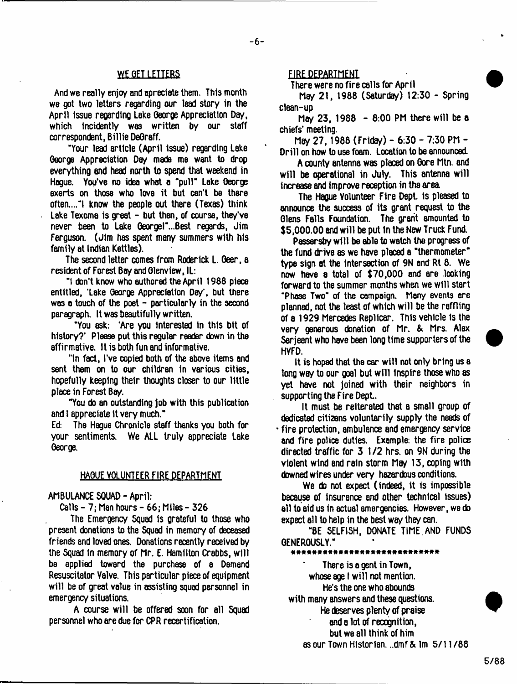### WE GET LETTERS

And we really enjoy and apreciale them. This month we got two letters regarding our lead story in the April Issue regarding Lake George Appreciation Day, which incidently was written by our staff correspondent, Billie DeGraff.

"Your lead article (April Issue) regarding Lake George Appreciation Day mads me want to drop everything and head north to spend that weekend in Hague. You've no idea what a "pull" Lake George exerts on those who love it but can't be there often...."! know the people out there (Texas) think Lake Texoma is great - but then, of course, they've never been to Lake Georgel"...Best regards, Jim Ferguson. (Jim has spent many summers with his family at Indian Kettles).

The second letter comes from Roderick L. Geer, a resident of Forest Bay and Glenview, IL:

"1 don't know who authored the April 1968 piece entitled, 'Lake George Appreciation Day', but there was a touch of the poet  $-$  particularly in the second paragraph. It was beautifully written.

"You ask: 'Are you interested In this bit of history?' Please put this regular reader down in the affirmative. It is both fun and informative.

"In fact, I've copied both of the above items and sent them on to our children in various cities, hopefully keeping their thoughts closer to our little place in Forest Bay.

"You do an outstanding job with this publication and I appreciate it very much."

Ed: The Hague Chronicle staff thanks you both for your sentiments. We ALL truly appreciate Lake George.

# HAGUE VOLUNTEER FIRE DEPARTMENT

AMBULANCE SQUAD-April:

Calls - 7; Man hours - 66; Miles - 326

The Emergency Squad is grateful to those who present donations to the Squad in memory of deceased friends and loved ones. Donations recently received by the Squad in memory of Mr. E. Hamilton Crabbs, will be applied toward the purchase of a Demand Resuscitator Valve. This particular piece of equipment will be of great value in assisting squad personnel in emergency situations.

A course will be offered soon for all Squad personnel who are due for CPR recertification.

## FIRE DEPARTMEN1

There were no fire calls for April

Mey 21, 1988 (Saturday) 12:30 - Spring clean-up

May 23, 1988 - 8:00 PM there will be a chiefs' meeting.

Mey 27,1988 (Friday) - 6:30 - 7:30 PM - Drill on how to use foam. Location to be announced.

A county antenna was placed on Gore Mtn. and will be operational in July. This antenna will increase and improve reception in the area

The Hague Volunteer Fire Dept, is pleased to announce the success of its grant request to the Glens Falls Foundation. The grant amounted to \$5,000.00 and w ill be put in the New Truck Fund.

Passersby will be able to watch the progress of the fund drive as we have placed a "thermometer" type sign at the intersection of 9N end Rt 8. We now have a total of \$70,000 snd are .looking forward to the summer months when we will start "Phase Two" of the campaign. Many events are planned, not the least of which will be the raffling of a 1929 Mercedes Repllcar. This vehicle is the very generous donation of Mr. & Mrs. Alex Sarjeant who have been long time supporters of the HYFD.

It is hoped that the car will not only bring us a long way to our goal but will inspire those who as yet have not joined with their neighbors in supporting the Fire Dept.

It must be reiterated that a small group of dedicated citizens voluntarily supply the needs of \* fire protection, ambulance and emergency service and fire police duties. Example: the fire police directed traffic for 3 1/2 hrs. on 9N during the violent wind and rain storm May 13, coping with downed wires under very hazardous conditions.

We do not expect (indeed, it is impossible because of insurance and other technical issues) ell to aid us in actual emergencies. However, we do expect all to help in the best way they can.

"BE SELFISH, DONATE TIME.AND FUNDS GENEROUSLY."

-------------

There is a gent in Town, whose age I will not mention. He's the one who abounds with many answers and these questions. He deserves plenty of praise and a lot of recognition, but we all think of him as our Town Historian. ..dmf & lm 5/11 /88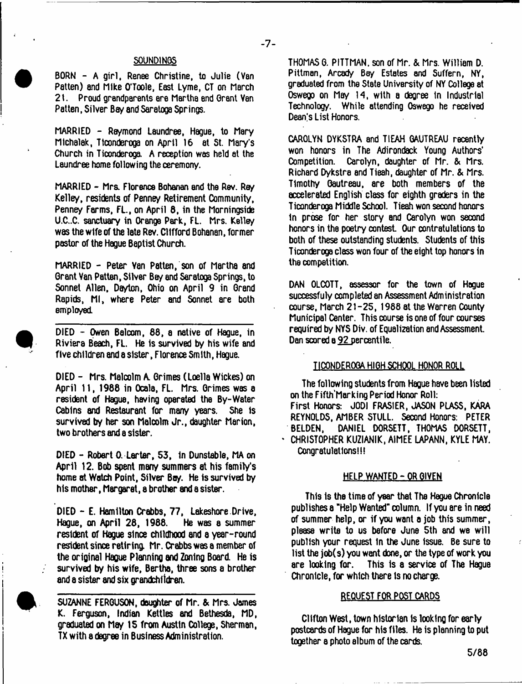### S0UND1NQS

 $-7-$ 

BORN - A girl, Renee Christine, to Julie (Van Patten) and Mike O'Toole, East Lyme, CT on March 21. Proud grandparents are Martha end Grant Van Patten, Silver Bay and Saratoga Springs.

MARRIED - Raymond Laundree, Hague, to Mary Michalak, Ticonderoga on April 16 at St. Mary's Church in Ticonderoga A reception was held at the Laundree home following the ceremony.

MARRIED - Mrs. Florence Bohanan and the Rev. Ray Kelley, residents of Penney Retirement Community, Penney Farms, FL., on April 8, in the Morningside U.C..C. sanctuary in Orange Park, FL. Mrs. Kelley was the wife of the late Rev. Clifford Bohanan, former pastor of the Hague Baptist Church.

MARRIED - Peter Yan Patten, son of Martha and Grant Van Patten, Silver Bey and Saratoga Springs, to Sonnet Allen, Dayton, Ohio on April 9 in Grand Rapids, Ml, where Peter and Sonnet are both employed

DIED - Owen Balcom, 88, a native of Hague, in Riviera Beach, FL. He is survived by his wife and five children and a sister, Florence Smith, Hague.

DIED - Mrs. Malcolm A. Grimes (Loella Wickes) on April 11, 1988 in Ocala, FL. Mrs. Grimes was a resident of Hague, having operated the By-Water Cabins and Restaurant for many years. She Is survived by her son Malcolm Jr., daughter Marion, two brothers and a sister.

DIED - Robert 0. Larter, S3, in Dunstable, MA on April 12. Bob spent many summers at his family's home at Watch Point, Silver Bay. He is survived by his mother, Margaret, a brother and a sister.

DIED - E. Hamilton Crabbs, 77, Lakeshore Drive, Hague, on April 28, 1988. He was a summer resident of Hague since childhood and a year-round resident since retiring. Mr. Crabbs was a member of the original Hague Planning and Zoning Board. He is survived by his wife, Bertha, three sons a brother and a sister and six grandchildren.

SUZANNE FERGUSON, daughter of Mr. & Mrs. James K. Ferguson, Indian Kettles and Bethesda, MD, graduated on May IS from Austin College, Sherman, TX with a degree in Business Administration.

CAROLYN DYKSTRA and TIEAH GAUTREAU recently won honors in The Adirondack Young Authors' Competition. Carolyn, daughter of Mr. & Mrs, Richard Dykstra and Tieah, daughter of Mr. & Mrs. Timothy Gautreau, are both members of the accelerated English class for eighth graders in the Ticonderoga Middle School. Tieah won second honors in prose for her story and Carolyn won second honors in the poetry contest. Our contratulations to both of these outstanding students. Students of this Ticonderoga class won four of the eight top honors in the competition.

DAN OLCOTT, assessor for the town of Hague successfuly completed an Assessment Administration course, March 21-25, 1988 at the Warren County Municipal Center. This course is one of four courses required by NYS Div. of Equalization and Assessment. Dan scored a 92 percentile.

## TICONDEROGA HIGH SCHOOL HONOR ROLL

The following students from Hague have been listed on the Fifth'Marking Period Honor Roll: First Honors: JODI FRASIER, JASON PLASS, KARA REYNOLDS, AMBER STULL. Second Honors: PETER BELDEN, DANIEL DORSETT, THOMAS DORSETT, \* CHRISTOPHER KUZIANIK, AIMEE LAPANN, KYLE MAY. Congratulations!!!

# HELP WANTED-OR GIVEN

This is the time of year that The Hague Chronicle publishes a "Help WentaJ" column. If you ere in need of summer help, or if you want a job this summer, please write to us before June 5th and we will publish your request In the June Issue. Be sure to list the job(s) you want done, or the type of work you are looking for. This is a service of The Hague Chronicle, for which there is no charge.

### REQUEST FOR POST CARDS

Clifton West, town historian Is looking for early postcards of Hague for his files. He is planning to put together a photo album of the cards.